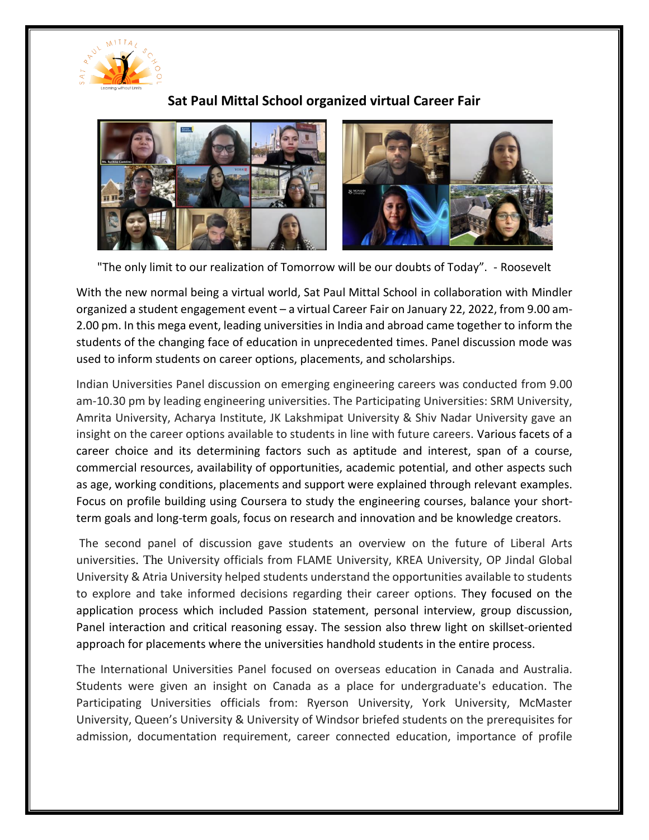

## **Sat Paul Mittal School organized virtual Career Fair**



"The only limit to our realization of Tomorrow will be our doubts of Today". - Roosevelt

With the new normal being a virtual world, Sat Paul Mittal School in collaboration with Mindler organized a student engagement event – a virtual Career Fair on January 22, 2022, from 9.00 am-2.00 pm. In this mega event, leading universities in India and abroad came together to inform the students of the changing face of education in unprecedented times. Panel discussion mode was used to inform students on career options, placements, and scholarships.

Indian Universities Panel discussion on emerging engineering careers was conducted from 9.00 am-10.30 pm by leading engineering universities. The Participating Universities: SRM University, Amrita University, Acharya Institute, JK Lakshmipat University & Shiv Nadar University gave an insight on the career options available to students in line with future careers. Various facets of a career choice and its determining factors such as aptitude and interest, span of a course, commercial resources, availability of opportunities, academic potential, and other aspects such as age, working conditions, placements and support were explained through relevant examples. Focus on profile building using Coursera to study the engineering courses, balance your shortterm goals and long-term goals, focus on research and innovation and be knowledge creators.

The second panel of discussion gave students an overview on the future of Liberal Arts universities. The University officials from FLAME University, KREA University, OP Jindal Global University & Atria University helped students understand the opportunities available to students to explore and take informed decisions regarding their career options. They focused on the application process which included Passion statement, personal interview, group discussion, Panel interaction and critical reasoning essay. The session also threw light on skillset-oriented approach for placements where the universities handhold students in the entire process.

The International Universities Panel focused on overseas education in Canada and Australia. Students were given an insight on Canada as a place for undergraduate's education. The Participating Universities officials from: Ryerson University, York University, McMaster University, Queen's University & University of Windsor briefed students on the prerequisites for admission, documentation requirement, career connected education, importance of profile